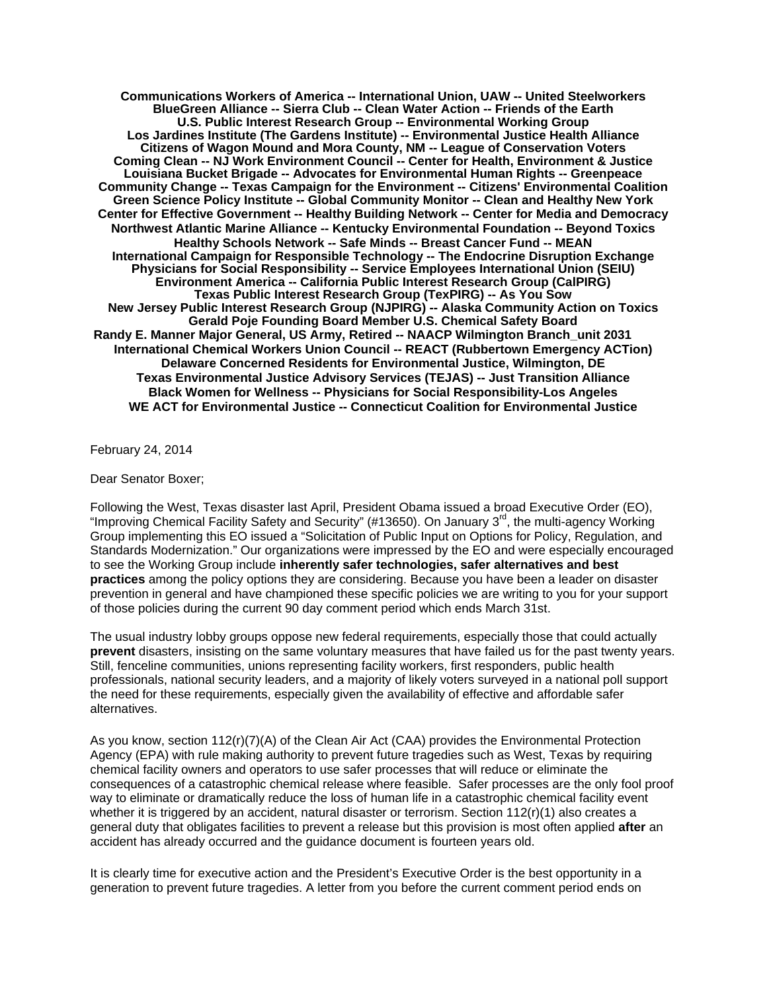**Communications Workers of America -- International Union, UAW -- United Steelworkers BlueGreen Alliance -- Sierra Club -- Clean Water Action -- Friends of the Earth U.S. Public Interest Research Group -- Environmental Working Group Los Jardines Institute (The Gardens Institute) -- Environmental Justice Health Alliance Citizens of Wagon Mound and Mora County, NM -- League of Conservation Voters Coming Clean -- NJ Work Environment Council -- Center for Health, Environment & Justice Louisiana Bucket Brigade -- Advocates for Environmental Human Rights -- Greenpeace Community Change -- Texas Campaign for the Environment -- Citizens' Environmental Coalition Green Science Policy Institute -- Global Community Monitor -- Clean and Healthy New York Center for Effective Government -- Healthy Building Network -- Center for Media and Democracy Northwest Atlantic Marine Alliance -- Kentucky Environmental Foundation -- Beyond Toxics Healthy Schools Network -- Safe Minds -- Breast Cancer Fund -- MEAN International Campaign for Responsible Technology -- The Endocrine Disruption Exchange Physicians for Social Responsibility -- Service Employees International Union (SEIU) Environment America -- California Public Interest Research Group (CalPIRG) Texas Public Interest Research Group (TexPIRG) -- As You Sow New Jersey Public Interest Research Group (NJPIRG) -- [Alaska Community Action on Toxics](http://www.akaction.org/) Gerald Poje Founding Board Member U.S. Chemical Safety Board Randy E. Manner Major General, US Army, Retired -- NAACP Wilmington Branch\_unit 2031 International Chemical Workers Union Council -- REACT (Rubbertown Emergency ACTion) Delaware Concerned Residents for Environmental Justice, Wilmington, DE Texas Environmental Justice Advisory Services (TEJAS) -- Just Transition Alliance Black Women for Wellness -- Physicians for Social Responsibility-Los Angeles WE ACT for Environmental Justice -- Connecticut Coalition for Environmental Justice** 

February 24, 2014

Dear Senator Boxer;

Following the West, Texas disaster last April, President Obama issued a broad Executive Order (EO), "Improving Chemical Facility Safety and Security" (#13650). On January 3<sup>rd</sup>, the multi-agency Working Group implementing this EO issued a "Solicitation of Public Input on Options for Policy, Regulation, and Standards Modernization." Our organizations were impressed by the EO and were especially encouraged to see the Working Group include **inherently safer technologies, safer alternatives and best practices** among the policy options they are considering. Because you have been a leader on disaster prevention in general and have championed these specific policies we are writing to you for your support of those policies during the current 90 day comment period which ends March 31st.

The usual industry lobby groups oppose new federal requirements, especially those that could actually **prevent** disasters, insisting on the same voluntary measures that have failed us for the past twenty years. Still, fenceline communities, unions representing facility workers, first responders, public health professionals, national security leaders, and a majority of likely voters surveyed in a national poll support the need for these requirements, especially given the availability of effective and affordable safer alternatives.

As you know, section 112(r)(7)(A) of the Clean Air Act (CAA) provides the Environmental Protection Agency (EPA) with rule making authority to prevent future tragedies such as West, Texas by requiring chemical facility owners and operators to use safer processes that will reduce or eliminate the consequences of a catastrophic chemical release where feasible. Safer processes are the only fool proof way to eliminate or dramatically reduce the loss of human life in a catastrophic chemical facility event whether it is triggered by an accident, natural disaster or terrorism. Section 112(r)(1) also creates a general duty that obligates facilities to prevent a release but this provision is most often applied **after** an accident has already occurred and the guidance document is fourteen years old.

It is clearly time for executive action and the President's Executive Order is the best opportunity in a generation to prevent future tragedies. A letter from you before the current comment period ends on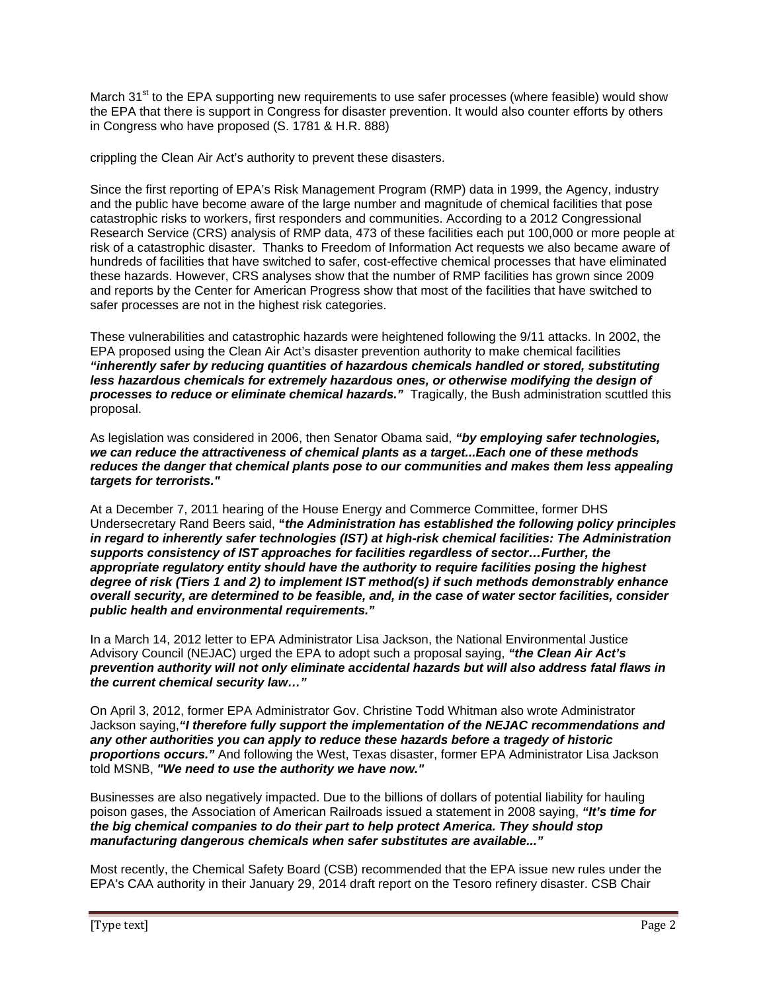March 31<sup>st</sup> to the EPA supporting new requirements to use safer processes (where feasible) would show the EPA that there is support in Congress for disaster prevention. It would also counter efforts by others in Congress who have proposed (S. 1781 & H.R. 888)

crippling the Clean Air Act's authority to prevent these disasters.

Since the first reporting of EPA's Risk Management Program (RMP) data in 1999, the Agency, industry and the public have become aware of the large number and magnitude of chemical facilities that pose catastrophic risks to workers, first responders and communities. According to a 2012 Congressional Research Service (CRS) analysis of RMP data, 473 of these facilities each put 100,000 or more people at risk of a catastrophic disaster. Thanks to Freedom of Information Act requests we also became aware of hundreds of facilities that have switched to safer, cost-effective chemical processes that have eliminated these hazards. However, CRS analyses show that the number of RMP facilities has grown since 2009 and reports by the Center for American Progress show that most of the facilities that have switched to safer processes are not in the highest risk categories.

These vulnerabilities and catastrophic hazards were heightened following the 9/11 attacks. In 2002, the EPA proposed using the Clean Air Act's disaster prevention authority to make chemical facilities *"inherently safer by reducing quantities of hazardous chemicals handled or stored, substituting less hazardous chemicals for extremely hazardous ones, or otherwise modifying the design of processes to reduce or eliminate chemical hazards."* Tragically, the Bush administration scuttled this proposal.

As legislation was considered in 2006, then Senator Obama said, *"by employing safer technologies, we can reduce the attractiveness of chemical plants as a target...Each one of these methods reduces the danger that chemical plants pose to our communities and makes them less appealing targets for terrorists."* 

At a December 7, 2011 hearing of the House Energy and Commerce Committee, former DHS Undersecretary Rand Beers said, **"***the Administration has established the following policy principles in regard to inherently safer technologies (IST) at high-risk chemical facilities: The Administration supports consistency of IST approaches for facilities regardless of sector…Further, the appropriate regulatory entity should have the authority to require facilities posing the highest degree of risk (Tiers 1 and 2) to implement IST method(s) if such methods demonstrably enhance overall security, are determined to be feasible, and, in the case of water sector facilities, consider public health and environmental requirements."* 

In a March 14, 2012 letter to EPA Administrator Lisa Jackson, the National Environmental Justice Advisory Council (NEJAC) urged the EPA to adopt such a proposal saying, *"the Clean Air Act's prevention authority will not only eliminate accidental hazards but will also address fatal flaws in the current chemical security law…"* 

On April 3, 2012, former EPA Administrator Gov. Christine Todd Whitman also wrote Administrator Jackson saying,*"I therefore fully support the implementation of the NEJAC recommendations and any other authorities you can apply to reduce these hazards before a tragedy of historic proportions occurs."* And following the West, Texas disaster, former EPA Administrator Lisa Jackson told MSNB, *"We need to use the authority we have now."*

Businesses are also negatively impacted. Due to the billions of dollars of potential liability for hauling poison gases, the Association of American Railroads issued a statement in 2008 saying, *"It's time for the big chemical companies to do their part to help protect America. They should stop manufacturing dangerous chemicals when safer substitutes are available..."*

Most recently, the Chemical Safety Board (CSB) recommended that the EPA issue new rules under the EPA's CAA authority in their January 29, 2014 draft report on the Tesoro refinery disaster. CSB Chair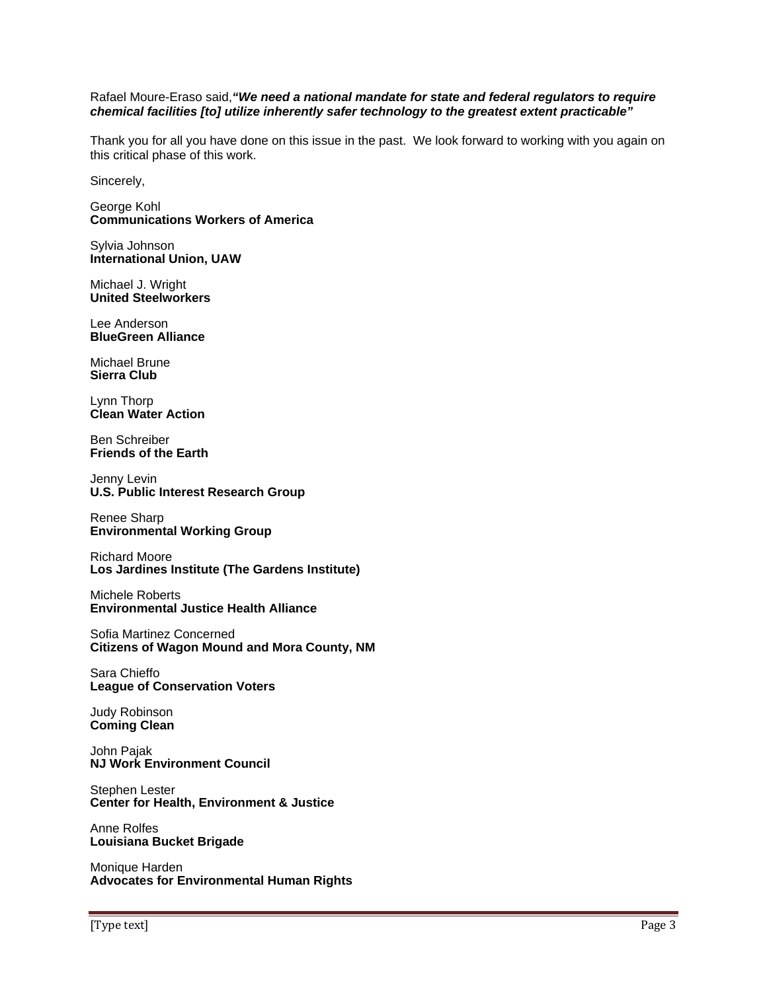## Rafael Moure-Eraso said,*"We need a national mandate for state and federal regulators to require chemical facilities [to] utilize inherently safer technology to the greatest extent practicable"*

Thank you for all you have done on this issue in the past. We look forward to working with you again on this critical phase of this work.

Sincerely,

George Kohl **Communications Workers of America** 

Sylvia Johnson **International Union, UAW**

Michael J. Wright **United Steelworkers** 

Lee Anderson **BlueGreen Alliance** 

Michael Brune **Sierra Club** 

Lynn Thorp **Clean Water Action** 

Ben Schreiber **Friends of the Earth** 

Jenny Levin **U.S. Public Interest Research Group** 

Renee Sharp **Environmental Working Group** 

Richard Moore **Los Jardines Institute (The Gardens Institute)**

Michele Roberts **Environmental Justice Health Alliance**

Sofia Martinez Concerned **Citizens of Wagon Mound and Mora County, NM** 

Sara Chieffo **League of Conservation Voters** 

Judy Robinson **Coming Clean** 

John Pajak **NJ Work Environment Council** 

Stephen Lester **Center for Health, Environment & Justice** 

Anne Rolfes **Louisiana Bucket Brigade** 

Monique Harden **Advocates for Environmental Human Rights**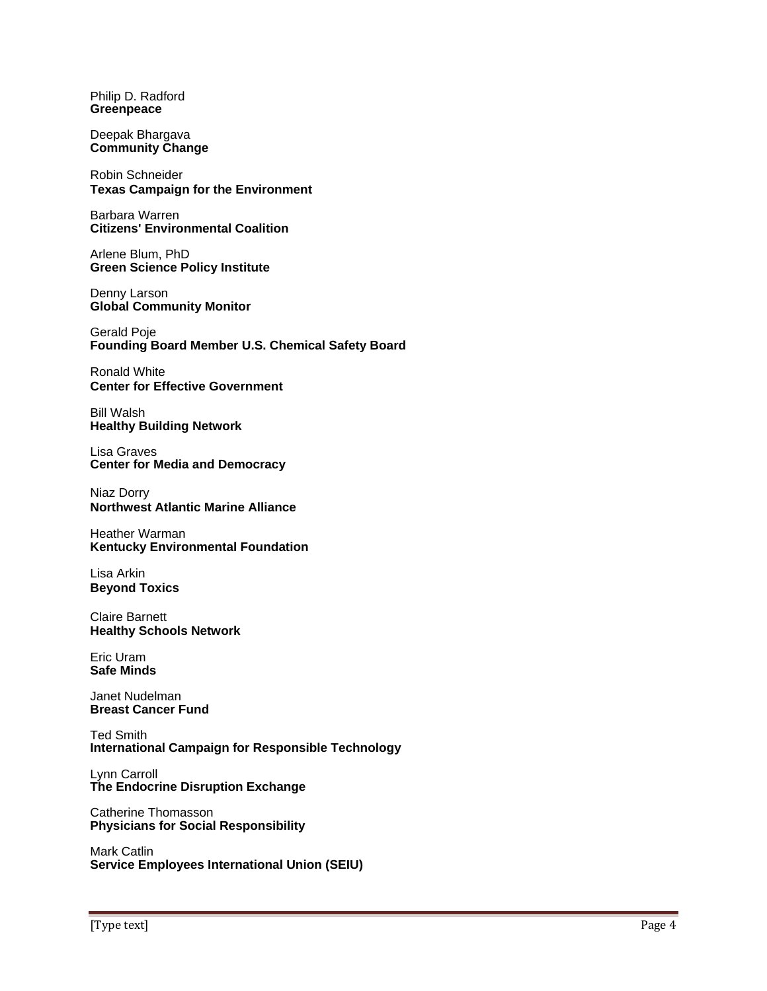Philip D. Radford **Greenpeace** 

Deepak Bhargava **Community Change** 

Robin Schneider **Texas Campaign for the Environment** 

Barbara Warren **Citizens' Environmental Coalition**

Arlene Blum, PhD **Green Science Policy Institute**

Denny Larson **Global Community Monitor** 

Gerald Poje **Founding Board Member U.S. Chemical Safety Board** 

Ronald White **Center for Effective Government**

Bill Walsh **Healthy Building Network** 

Lisa Graves **Center for Media and Democracy** 

Niaz Dorry **Northwest Atlantic Marine Alliance** 

Heather Warman **Kentucky Environmental Foundation** 

Lisa Arkin **Beyond Toxics** 

Claire Barnett **Healthy Schools Network** 

Eric Uram **Safe Minds** 

Janet Nudelman **Breast Cancer Fund** 

Ted Smith **International Campaign for Responsible Technology** 

Lynn Carroll **The Endocrine Disruption Exchange** 

Catherine Thomasson **Physicians for Social Responsibility** 

Mark Catlin **Service Employees International Union (SEIU)**